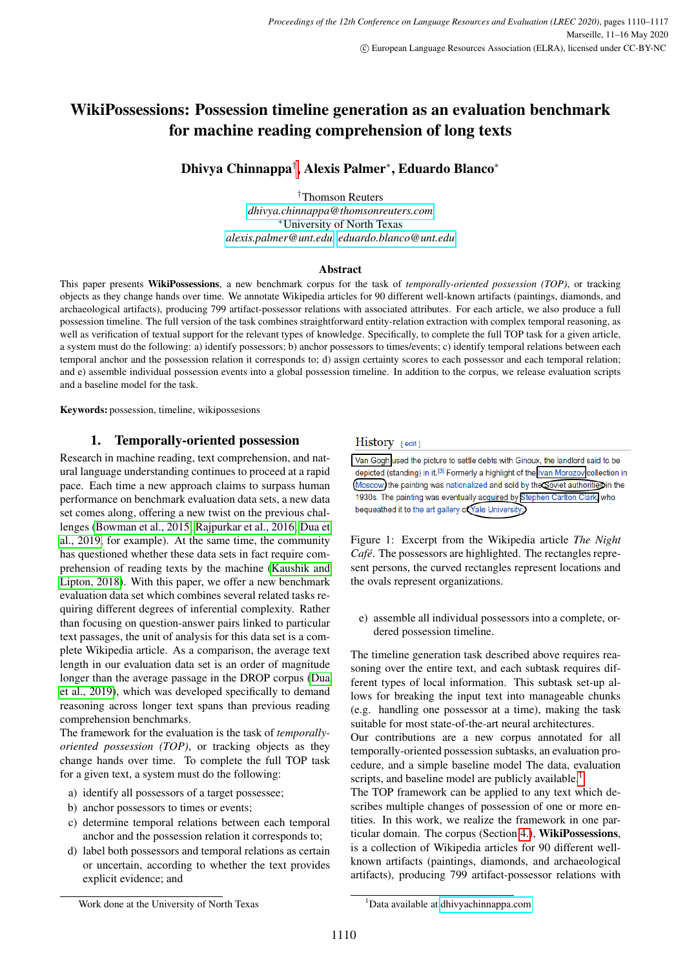# WikiPossessions: Possession timeline generation as an evaluation benchmark for machine reading comprehension of long texts

Dhivya Chinnappa† , Alexis Palmer<sup>∗</sup> , Eduardo Blanco<sup>∗</sup>

†Thomson Reuters *[dhivya.chinnappa@thomsonreuters.com](mailto:dhivya.chinnappa@thomsonreuters.com)* <sup>∗</sup>University of North Texas *[alexis.palmer@unt.edu,](mailto:alexis.palmer@unt.edu) [eduardo.blanco@unt.edu](mailto:eduardo.blanco@unt.edu)*

#### Abstract

This paper presents WikiPossessions, a new benchmark corpus for the task of *temporally-oriented possession (TOP)*, or tracking objects as they change hands over time. We annotate Wikipedia articles for 90 different well-known artifacts (paintings, diamonds, and archaeological artifacts), producing 799 artifact-possessor relations with associated attributes. For each article, we also produce a full possession timeline. The full version of the task combines straightforward entity-relation extraction with complex temporal reasoning, as well as verification of textual support for the relevant types of knowledge. Specifically, to complete the full TOP task for a given article, a system must do the following: a) identify possessors; b) anchor possessors to times/events; c) identify temporal relations between each temporal anchor and the possession relation it corresponds to; d) assign certainty scores to each possessor and each temporal relation; and e) assemble individual possession events into a global possession timeline. In addition to the corpus, we release evaluation scripts and a baseline model for the task.

Keywords: possession, timeline, wikipossesions

# 1. Temporally-oriented possession

Research in machine reading, text comprehension, and natural language understanding continues to proceed at a rapid pace. Each time a new approach claims to surpass human performance on benchmark evaluation data sets, a new data set comes along, offering a new twist on the previous challenges [\(Bowman et al., 2015;](#page-6-0) [Rajpurkar et al., 2016;](#page-7-0) [Dua et](#page-6-1) [al., 2019,](#page-6-1) for example). At the same time, the community has questioned whether these data sets in fact require comprehension of reading texts by the machine [\(Kaushik and](#page-6-2) [Lipton, 2018\)](#page-6-2). With this paper, we offer a new benchmark evaluation data set which combines several related tasks requiring different degrees of inferential complexity. Rather than focusing on question-answer pairs linked to particular text passages, the unit of analysis for this data set is a complete Wikipedia article. As a comparison, the average text length in our evaluation data set is an order of magnitude longer than the average passage in the DROP corpus [\(Dua](#page-6-1) [et al., 2019\)](#page-6-1), which was developed specifically to demand reasoning across longer text spans than previous reading comprehension benchmarks.

The framework for the evaluation is the task of *temporallyoriented possession (TOP)*, or tracking objects as they change hands over time. To complete the full TOP task for a given text, a system must do the following:

- a) identify all possessors of a target possessee;
- b) anchor possessors to times or events;
- c) determine temporal relations between each temporal anchor and the possession relation it corresponds to;
- d) label both possessors and temporal relations as certain or uncertain, according to whether the text provides explicit evidence; and

# History [edit]

Van Gogh used the picture to settle debts with Ginoux, the landlord said to be depicted (standing) in it.<sup>[3]</sup> Formerly a highlight of the Ivan Morozov collection in Moscow) the painting was nationalized and sold by the coviet authorities in the 1930s. The painting was eventually acquired by Stephen Carlton Clark, who bequeathed it to the art gallery of Yale University,

<span id="page-0-1"></span>Figure 1: Excerpt from the Wikipedia article *The Night Café*. The possessors are highlighted. The rectangles represent persons, the curved rectangles represent locations and the ovals represent organizations.

e) assemble all individual possessors into a complete, ordered possession timeline.

The timeline generation task described above requires reasoning over the entire text, and each subtask requires different types of local information. This subtask set-up allows for breaking the input text into manageable chunks (e.g. handling one possessor at a time), making the task suitable for most state-of-the-art neural architectures.

Our contributions are a new corpus annotated for all temporally-oriented possession subtasks, an evaluation procedure, and a simple baseline model The data, evaluation scripts, and baseline model are publicly available.<sup>[1](#page-0-0)</sup>

The TOP framework can be applied to any text which describes multiple changes of possession of one or more entities. In this work, we realize the framework in one particular domain. The corpus (Section [4.\)](#page-2-0), WikiPossessions, is a collection of Wikipedia articles for 90 different wellknown artifacts (paintings, diamonds, and archaeological artifacts), producing 799 artifact-possessor relations with

Work done at the University of North Texas

<span id="page-0-0"></span><sup>&</sup>lt;sup>1</sup>Data available at [dhivyachinnappa.com](http://www.dhivyachinnappa.com)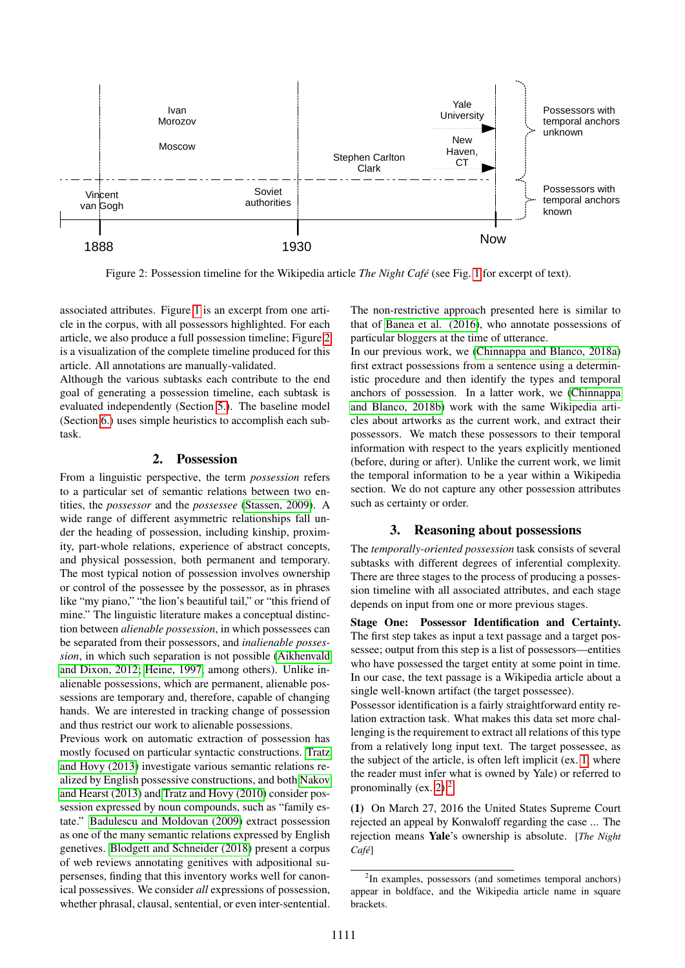

<span id="page-1-0"></span>Figure 2: Possession timeline for the Wikipedia article *The Night Café* (see Fig. [1](#page-0-1) for excerpt of text).

associated attributes. Figure [1](#page-0-1) is an excerpt from one article in the corpus, with all possessors highlighted. For each article, we also produce a full possession timeline; Figure [2](#page-1-0) is a visualization of the complete timeline produced for this article. All annotations are manually-validated.

Although the various subtasks each contribute to the end goal of generating a possession timeline, each subtask is evaluated independently (Section [5.\)](#page-4-0). The baseline model (Section [6.\)](#page-5-0) uses simple heuristics to accomplish each subtask.

# 2. Possession

From a linguistic perspective, the term *possession* refers to a particular set of semantic relations between two entities, the *possessor* and the *possessee* [\(Stassen, 2009\)](#page-7-1). A wide range of different asymmetric relationships fall under the heading of possession, including kinship, proximity, part-whole relations, experience of abstract concepts, and physical possession, both permanent and temporary. The most typical notion of possession involves ownership or control of the possessee by the possessor, as in phrases like "my piano," "the lion's beautiful tail," or "this friend of mine." The linguistic literature makes a conceptual distinction between *alienable possession*, in which possessees can be separated from their possessors, and *inalienable possession*, in which such separation is not possible [\(Aikhenvald](#page-6-3) [and Dixon, 2012;](#page-6-3) [Heine, 1997,](#page-6-4) among others). Unlike inalienable possessions, which are permanent, alienable possessions are temporary and, therefore, capable of changing hands. We are interested in tracking change of possession and thus restrict our work to alienable possessions.

Previous work on automatic extraction of possession has mostly focused on particular syntactic constructions. [Tratz](#page-7-2) [and Hovy \(2013\)](#page-7-2) investigate various semantic relations realized by English possessive constructions, and both [Nakov](#page-7-3) [and Hearst \(2013\)](#page-7-3) and [Tratz and Hovy \(2010\)](#page-7-4) consider possession expressed by noun compounds, such as "family estate." [Badulescu and Moldovan \(2009\)](#page-6-5) extract possession as one of the many semantic relations expressed by English genetives. [Blodgett and Schneider \(2018\)](#page-6-6) present a corpus of web reviews annotating genitives with adpositional supersenses, finding that this inventory works well for canonical possessives. We consider *all* expressions of possession, whether phrasal, clausal, sentential, or even inter-sentential.

The non-restrictive approach presented here is similar to that of [Banea et al. \(2016\)](#page-6-7), who annotate possessions of particular bloggers at the time of utterance.

In our previous work, we [\(Chinnappa and Blanco, 2018a\)](#page-6-8) first extract possessions from a sentence using a deterministic procedure and then identify the types and temporal anchors of possession. In a latter work, we [\(Chinnappa](#page-6-9) [and Blanco, 2018b\)](#page-6-9) work with the same Wikipedia articles about artworks as the current work, and extract their possessors. We match these possessors to their temporal information with respect to the years explicitly mentioned (before, during or after). Unlike the current work, we limit the temporal information to be a year within a Wikipedia section. We do not capture any other possession attributes such as certainty or order.

# 3. Reasoning about possessions

The *temporally-oriented possession* task consists of several subtasks with different degrees of inferential complexity. There are three stages to the process of producing a possession timeline with all associated attributes, and each stage depends on input from one or more previous stages.

Stage One: Possessor Identification and Certainty. The first step takes as input a text passage and a target possessee; output from this step is a list of possessors—entities who have possessed the target entity at some point in time. In our case, the text passage is a Wikipedia article about a single well-known artifact (the target possessee).

Possessor identification is a fairly straightforward entity relation extraction task. What makes this data set more challenging is the requirement to extract all relations of this type from a relatively long input text. The target possessee, as the subject of the article, is often left implicit (ex. [1,](#page-1-1) where the reader must infer what is owned by Yale) or referred to pronominally (ex. [2\)](#page-2-1). $<sup>2</sup>$  $<sup>2</sup>$  $<sup>2</sup>$ </sup>

<span id="page-1-1"></span>(1) On March 27, 2016 the United States Supreme Court rejected an appeal by Konwaloff regarding the case ... The rejection means Yale's ownership is absolute. [*The Night Cafe´*]

<span id="page-1-2"></span><sup>&</sup>lt;sup>2</sup>In examples, possessors (and sometimes temporal anchors) appear in boldface, and the Wikipedia article name in square brackets.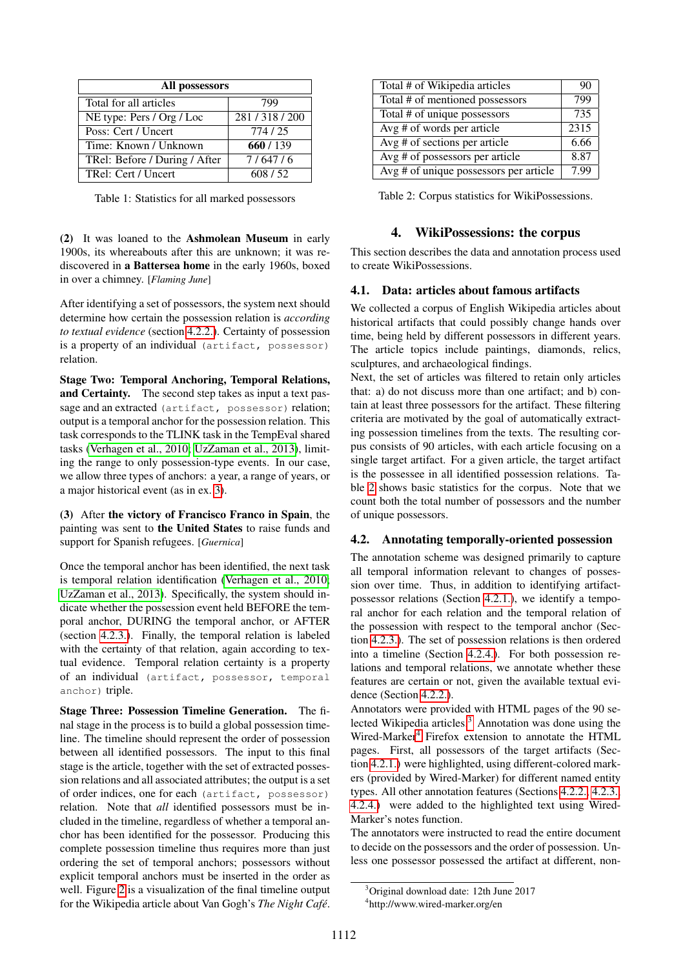| All possessors                |             |  |  |  |  |
|-------------------------------|-------------|--|--|--|--|
| Total for all articles        | 799         |  |  |  |  |
| NE type: Pers / Org / Loc     | 281/318/200 |  |  |  |  |
| Poss: Cert / Uncert           | 774/25      |  |  |  |  |
| Time: Known / Unknown         | 660/139     |  |  |  |  |
| TRel: Before / During / After | 7/647/6     |  |  |  |  |
| TRel: Cert / Uncert           | 608/52      |  |  |  |  |

<span id="page-2-6"></span>Table 1: Statistics for all marked possessors

<span id="page-2-1"></span>(2) It was loaned to the Ashmolean Museum in early 1900s, its whereabouts after this are unknown; it was rediscovered in a Battersea home in the early 1960s, boxed in over a chimney. [*Flaming June*]

After identifying a set of possessors, the system next should determine how certain the possession relation is *according to textual evidence* (section [4.2.2.\)](#page-3-0). Certainty of possession is a property of an individual (artifact, possessor) relation.

Stage Two: Temporal Anchoring, Temporal Relations, and Certainty. The second step takes as input a text passage and an extracted (artifact, possessor) relation; output is a temporal anchor for the possession relation. This task corresponds to the TLINK task in the TempEval shared tasks [\(Verhagen et al., 2010;](#page-7-5) [UzZaman et al., 2013\)](#page-7-6), limiting the range to only possession-type events. In our case, we allow three types of anchors: a year, a range of years, or a major historical event (as in ex. [3\)](#page-2-2).

<span id="page-2-2"></span>(3) After the victory of Francisco Franco in Spain, the painting was sent to the United States to raise funds and support for Spanish refugees. [*Guernica*]

Once the temporal anchor has been identified, the next task is temporal relation identification [\(Verhagen et al., 2010;](#page-7-5) [UzZaman et al., 2013\)](#page-7-6). Specifically, the system should indicate whether the possession event held BEFORE the temporal anchor, DURING the temporal anchor, or AFTER (section [4.2.3.\)](#page-3-1). Finally, the temporal relation is labeled with the certainty of that relation, again according to textual evidence. Temporal relation certainty is a property of an individual (artifact, possessor, temporal anchor) triple.

Stage Three: Possession Timeline Generation. The final stage in the process is to build a global possession timeline. The timeline should represent the order of possession between all identified possessors. The input to this final stage is the article, together with the set of extracted possession relations and all associated attributes; the output is a set of order indices, one for each (artifact, possessor) relation. Note that *all* identified possessors must be included in the timeline, regardless of whether a temporal anchor has been identified for the possessor. Producing this complete possession timeline thus requires more than just ordering the set of temporal anchors; possessors without explicit temporal anchors must be inserted in the order as well. Figure [2](#page-1-0) is a visualization of the final timeline output for the Wikipedia article about Van Gogh's *The Night Cafe´*.

| Total # of Wikipedia articles          | 90   |
|----------------------------------------|------|
| Total # of mentioned possessors        | 799  |
| Total # of unique possessors           | 735  |
| Avg # of words per article             | 2315 |
| Avg $#$ of sections per article        | 6.66 |
| Avg # of possessors per article        | 8.87 |
| Avg # of unique possessors per article | 7.99 |

<span id="page-2-3"></span>Table 2: Corpus statistics for WikiPossessions.

# 4. WikiPossessions: the corpus

<span id="page-2-0"></span>This section describes the data and annotation process used to create WikiPossessions.

# 4.1. Data: articles about famous artifacts

We collected a corpus of English Wikipedia articles about historical artifacts that could possibly change hands over time, being held by different possessors in different years. The article topics include paintings, diamonds, relics, sculptures, and archaeological findings.

Next, the set of articles was filtered to retain only articles that: a) do not discuss more than one artifact; and b) contain at least three possessors for the artifact. These filtering criteria are motivated by the goal of automatically extracting possession timelines from the texts. The resulting corpus consists of 90 articles, with each article focusing on a single target artifact. For a given article, the target artifact is the possessee in all identified possession relations. Table [2](#page-2-3) shows basic statistics for the corpus. Note that we count both the total number of possessors and the number of unique possessors.

# 4.2. Annotating temporally-oriented possession

The annotation scheme was designed primarily to capture all temporal information relevant to changes of possession over time. Thus, in addition to identifying artifactpossessor relations (Section [4.2.1.\)](#page-3-2), we identify a temporal anchor for each relation and the temporal relation of the possession with respect to the temporal anchor (Section [4.2.3.\)](#page-3-1). The set of possession relations is then ordered into a timeline (Section [4.2.4.\)](#page-4-1). For both possession relations and temporal relations, we annotate whether these features are certain or not, given the available textual evidence (Section [4.2.2.\)](#page-3-0).

Annotators were provided with HTML pages of the 90 se-lected Wikipedia articles.<sup>[3](#page-2-4)</sup> Annotation was done using the Wired-Marker<sup>[4](#page-2-5)</sup> Firefox extension to annotate the HTML pages. First, all possessors of the target artifacts (Section [4.2.1.\)](#page-3-2) were highlighted, using different-colored markers (provided by Wired-Marker) for different named entity types. All other annotation features (Sections [4.2.2.,](#page-3-0) [4.2.3.,](#page-3-1) [4.2.4.\)](#page-4-1) were added to the highlighted text using Wired-Marker's notes function.

The annotators were instructed to read the entire document to decide on the possessors and the order of possession. Unless one possessor possessed the artifact at different, non-

<span id="page-2-4"></span><sup>3</sup>Original download date: 12th June 2017

<span id="page-2-5"></span><sup>4</sup> http://www.wired-marker.org/en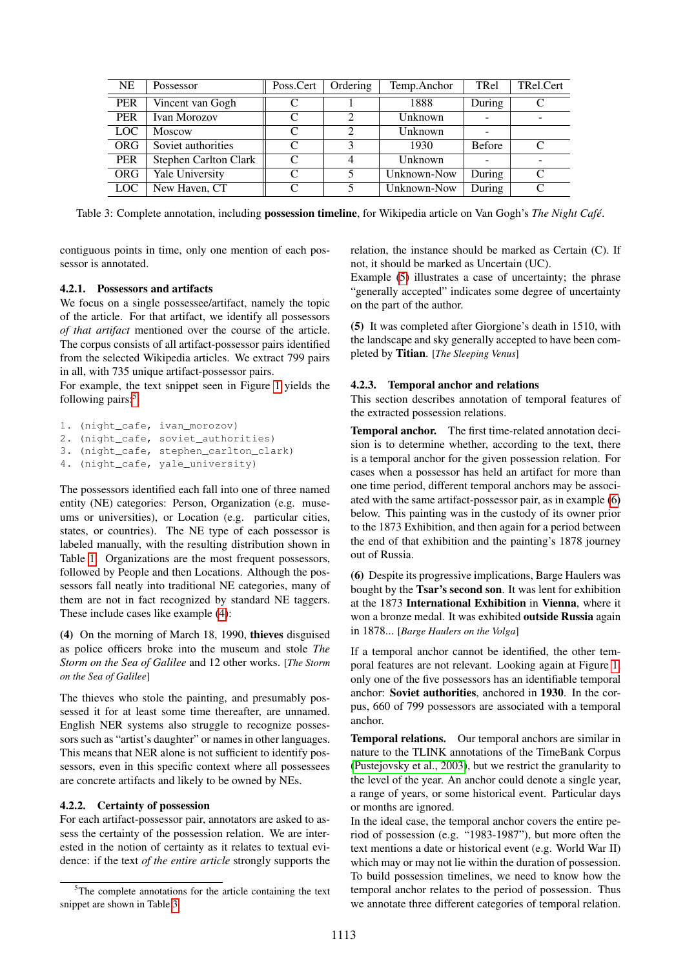| <b>NE</b>        | Possessor             | Poss.Cert | Ordering | Temp.Anchor | TRel          | TRel.Cert   |
|------------------|-----------------------|-----------|----------|-------------|---------------|-------------|
| <b>PER</b>       | Vincent van Gogh      |           |          | 1888        | During        |             |
| PER              | Ivan Morozov          | C         |          | Unknown     |               |             |
| LOC <sup>1</sup> | Moscow                | C         |          | Unknown     |               |             |
| <b>ORG</b>       | Soviet authorities    | C         |          | 1930        | <b>Before</b> | C           |
| <b>PER</b>       | Stephen Carlton Clark | C         |          | Unknown     |               |             |
| <b>ORG</b>       | Yale University       | C         |          | Unknown-Now | During        | $\mathbf C$ |
| LOC.             | New Haven, CT         | C         |          | Unknown-Now | During        | $\Gamma$    |

<span id="page-3-5"></span>Table 3: Complete annotation, including possession timeline, for Wikipedia article on Van Gogh's *The Night Cafe´*.

contiguous points in time, only one mention of each possessor is annotated.

relation, the instance should be marked as Certain (C). If not, it should be marked as Uncertain (UC).

# <span id="page-3-2"></span>4.2.1. Possessors and artifacts

We focus on a single possessee/artifact, namely the topic of the article. For that artifact, we identify all possessors *of that artifact* mentioned over the course of the article. The corpus consists of all artifact-possessor pairs identified from the selected Wikipedia articles. We extract 799 pairs in all, with 735 unique artifact-possessor pairs.

For example, the text snippet seen in Figure [1](#page-0-1) yields the following pairs:<sup>[5](#page-3-3)</sup>

```
1. (night_cafe, ivan_morozov)
2. (night_cafe, soviet_authorities)
3. (night_cafe, stephen_carlton_clark)
4. (night_cafe, yale_university)
```
The possessors identified each fall into one of three named entity (NE) categories: Person, Organization (e.g. museums or universities), or Location (e.g. particular cities, states, or countries). The NE type of each possessor is labeled manually, with the resulting distribution shown in Table [1.](#page-2-6) Organizations are the most frequent possessors, followed by People and then Locations. Although the possessors fall neatly into traditional NE categories, many of them are not in fact recognized by standard NE taggers. These include cases like example [\(4\)](#page-3-4):

<span id="page-3-4"></span>(4) On the morning of March 18, 1990, thieves disguised as police officers broke into the museum and stole *The Storm on the Sea of Galilee* and 12 other works. [*The Storm on the Sea of Galilee*]

The thieves who stole the painting, and presumably possessed it for at least some time thereafter, are unnamed. English NER systems also struggle to recognize possessors such as "artist's daughter" or names in other languages. This means that NER alone is not sufficient to identify possessors, even in this specific context where all possessees are concrete artifacts and likely to be owned by NEs.

#### <span id="page-3-0"></span>4.2.2. Certainty of possession

For each artifact-possessor pair, annotators are asked to assess the certainty of the possession relation. We are interested in the notion of certainty as it relates to textual evidence: if the text *of the entire article* strongly supports the

Example [\(5\)](#page-3-6) illustrates a case of uncertainty; the phrase "generally accepted" indicates some degree of uncertainty

<span id="page-3-6"></span>(5) It was completed after Giorgione's death in 1510, with the landscape and sky generally accepted to have been completed by Titian. [*The Sleeping Venus*]

#### <span id="page-3-1"></span>4.2.3. Temporal anchor and relations

on the part of the author.

This section describes annotation of temporal features of the extracted possession relations.

Temporal anchor. The first time-related annotation decision is to determine whether, according to the text, there is a temporal anchor for the given possession relation. For cases when a possessor has held an artifact for more than one time period, different temporal anchors may be associated with the same artifact-possessor pair, as in example [\(6\)](#page-3-7) below. This painting was in the custody of its owner prior to the 1873 Exhibition, and then again for a period between the end of that exhibition and the painting's 1878 journey out of Russia.

<span id="page-3-7"></span>(6) Despite its progressive implications, Barge Haulers was bought by the Tsar's second son. It was lent for exhibition at the 1873 International Exhibition in Vienna, where it won a bronze medal. It was exhibited outside Russia again in 1878... [*Barge Haulers on the Volga*]

If a temporal anchor cannot be identified, the other temporal features are not relevant. Looking again at Figure [1,](#page-0-1) only one of the five possessors has an identifiable temporal anchor: Soviet authorities, anchored in 1930. In the corpus, 660 of 799 possessors are associated with a temporal anchor.

Temporal relations. Our temporal anchors are similar in nature to the TLINK annotations of the TimeBank Corpus [\(Pustejovsky et al., 2003\)](#page-7-7), but we restrict the granularity to the level of the year. An anchor could denote a single year, a range of years, or some historical event. Particular days or months are ignored.

In the ideal case, the temporal anchor covers the entire period of possession (e.g. "1983-1987"), but more often the text mentions a date or historical event (e.g. World War II) which may or may not lie within the duration of possession. To build possession timelines, we need to know how the temporal anchor relates to the period of possession. Thus we annotate three different categories of temporal relation.

<span id="page-3-3"></span><sup>&</sup>lt;sup>5</sup>The complete annotations for the article containing the text snippet are shown in Table [3.](#page-3-5)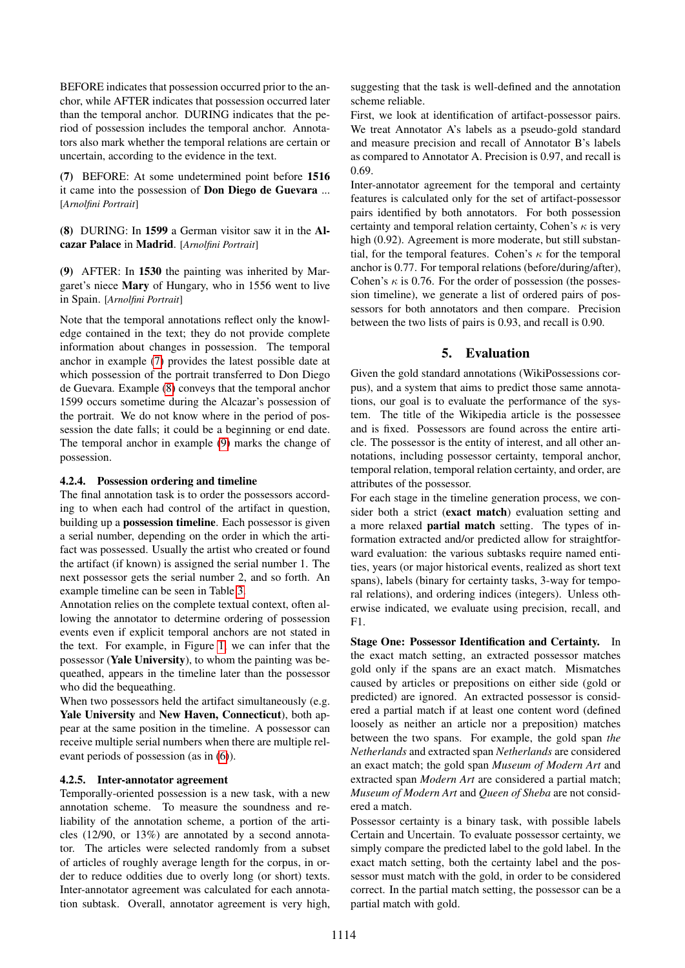BEFORE indicates that possession occurred prior to the anchor, while AFTER indicates that possession occurred later than the temporal anchor. DURING indicates that the period of possession includes the temporal anchor. Annotators also mark whether the temporal relations are certain or uncertain, according to the evidence in the text.

<span id="page-4-2"></span>(7) BEFORE: At some undetermined point before 1516 it came into the possession of Don Diego de Guevara ... [*Arnolfini Portrait*]

<span id="page-4-3"></span>(8) DURING: In 1599 a German visitor saw it in the Alcazar Palace in Madrid. [*Arnolfini Portrait*]

<span id="page-4-4"></span>(9) AFTER: In 1530 the painting was inherited by Margaret's niece Mary of Hungary, who in 1556 went to live in Spain. [*Arnolfini Portrait*]

Note that the temporal annotations reflect only the knowledge contained in the text; they do not provide complete information about changes in possession. The temporal anchor in example [\(7\)](#page-4-2) provides the latest possible date at which possession of the portrait transferred to Don Diego de Guevara. Example [\(8\)](#page-4-3) conveys that the temporal anchor 1599 occurs sometime during the Alcazar's possession of the portrait. We do not know where in the period of possession the date falls; it could be a beginning or end date. The temporal anchor in example [\(9\)](#page-4-4) marks the change of possession.

#### <span id="page-4-1"></span>4.2.4. Possession ordering and timeline

The final annotation task is to order the possessors according to when each had control of the artifact in question, building up a possession timeline. Each possessor is given a serial number, depending on the order in which the artifact was possessed. Usually the artist who created or found the artifact (if known) is assigned the serial number 1. The next possessor gets the serial number 2, and so forth. An example timeline can be seen in Table [3.](#page-3-5)

Annotation relies on the complete textual context, often allowing the annotator to determine ordering of possession events even if explicit temporal anchors are not stated in the text. For example, in Figure [1,](#page-0-1) we can infer that the possessor (Yale University), to whom the painting was bequeathed, appears in the timeline later than the possessor who did the bequeathing.

When two possessors held the artifact simultaneously (e.g. Yale University and New Haven, Connecticut), both appear at the same position in the timeline. A possessor can receive multiple serial numbers when there are multiple relevant periods of possession (as in [\(6\)](#page-3-7)).

#### 4.2.5. Inter-annotator agreement

Temporally-oriented possession is a new task, with a new annotation scheme. To measure the soundness and reliability of the annotation scheme, a portion of the articles (12/90, or 13%) are annotated by a second annotator. The articles were selected randomly from a subset of articles of roughly average length for the corpus, in order to reduce oddities due to overly long (or short) texts. Inter-annotator agreement was calculated for each annotation subtask. Overall, annotator agreement is very high, suggesting that the task is well-defined and the annotation scheme reliable.

First, we look at identification of artifact-possessor pairs. We treat Annotator A's labels as a pseudo-gold standard and measure precision and recall of Annotator B's labels as compared to Annotator A. Precision is 0.97, and recall is 0.69.

Inter-annotator agreement for the temporal and certainty features is calculated only for the set of artifact-possessor pairs identified by both annotators. For both possession certainty and temporal relation certainty, Cohen's  $\kappa$  is very high (0.92). Agreement is more moderate, but still substantial, for the temporal features. Cohen's  $\kappa$  for the temporal anchor is 0.77. For temporal relations (before/during/after), Cohen's  $\kappa$  is 0.76. For the order of possession (the possession timeline), we generate a list of ordered pairs of possessors for both annotators and then compare. Precision between the two lists of pairs is 0.93, and recall is 0.90.

# 5. Evaluation

<span id="page-4-0"></span>Given the gold standard annotations (WikiPossessions corpus), and a system that aims to predict those same annotations, our goal is to evaluate the performance of the system. The title of the Wikipedia article is the possessee and is fixed. Possessors are found across the entire article. The possessor is the entity of interest, and all other annotations, including possessor certainty, temporal anchor, temporal relation, temporal relation certainty, and order, are attributes of the possessor.

For each stage in the timeline generation process, we consider both a strict (exact match) evaluation setting and a more relaxed partial match setting. The types of information extracted and/or predicted allow for straightforward evaluation: the various subtasks require named entities, years (or major historical events, realized as short text spans), labels (binary for certainty tasks, 3-way for temporal relations), and ordering indices (integers). Unless otherwise indicated, we evaluate using precision, recall, and F1.

Stage One: Possessor Identification and Certainty. In the exact match setting, an extracted possessor matches gold only if the spans are an exact match. Mismatches caused by articles or prepositions on either side (gold or predicted) are ignored. An extracted possessor is considered a partial match if at least one content word (defined loosely as neither an article nor a preposition) matches between the two spans. For example, the gold span *the Netherlands* and extracted span *Netherlands* are considered an exact match; the gold span *Museum of Modern Art* and extracted span *Modern Art* are considered a partial match; *Museum of Modern Art* and *Queen of Sheba* are not considered a match.

Possessor certainty is a binary task, with possible labels Certain and Uncertain. To evaluate possessor certainty, we simply compare the predicted label to the gold label. In the exact match setting, both the certainty label and the possessor must match with the gold, in order to be considered correct. In the partial match setting, the possessor can be a partial match with gold.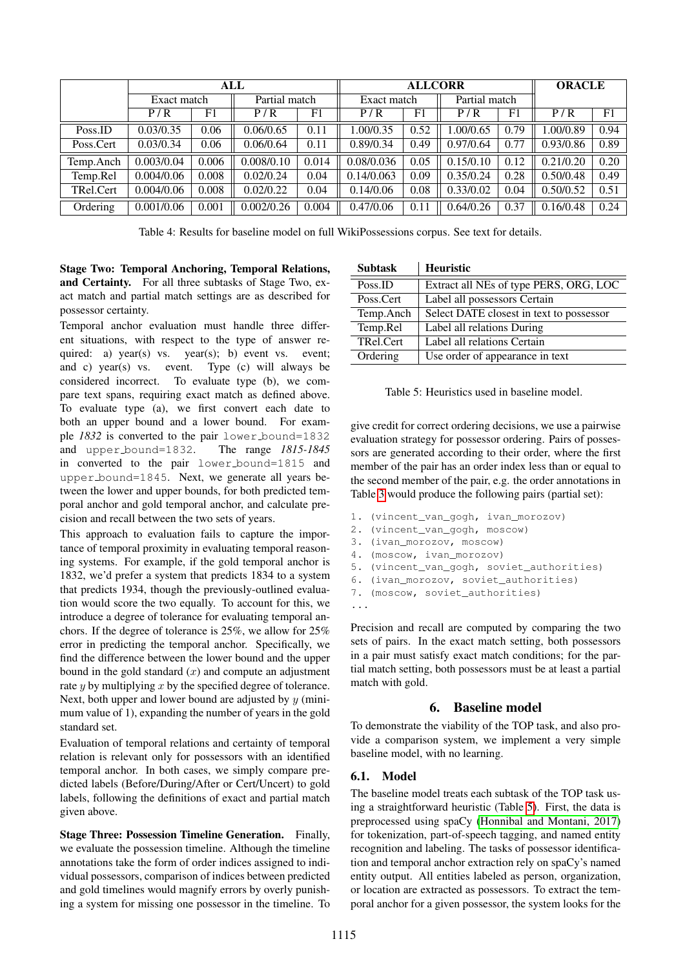|           | ALL         |       |               | <b>ALLCORR</b> |             |      |               | <b>ORACLE</b> |           |      |
|-----------|-------------|-------|---------------|----------------|-------------|------|---------------|---------------|-----------|------|
|           | Exact match |       | Partial match |                | Exact match |      | Partial match |               |           |      |
|           | P/R         | F1    | P/R           | F1             | P/R         | F1   | P/R           | F1            | P/R       | F1   |
| Poss.ID   | 0.03/0.35   | 0.06  | 0.06/0.65     | 0.11           | 1.00/0.35   | 0.52 | 1.00/0.65     | 0.79          | .00/0.89  | 0.94 |
| Poss.Cert | 0.03/0.34   | 0.06  | 0.06/0.64     | 0.11           | 0.89/0.34   | 0.49 | 0.97/0.64     | 0.77          | 0.93/0.86 | 0.89 |
| Temp.Anch | 0.003/0.04  | 0.006 | 0.008/0.10    | 0.014          | 0.08/0.036  | 0.05 | 0.15/0.10     | 0.12          | 0.21/0.20 | 0.20 |
| Temp.Rel  | 0.004/0.06  | 0.008 | 0.02/0.24     | 0.04           | 0.14/0.063  | 0.09 | 0.35/0.24     | 0.28          | 0.50/0.48 | 0.49 |
| TRel.Cert | 0.004/0.06  | 0.008 | 0.02/0.22     | 0.04           | 0.14/0.06   | 0.08 | 0.33/0.02     | 0.04          | 0.50/0.52 | 0.51 |
| Ordering  | 0.001/0.06  | 0.001 | 0.002/0.26    | 0.004          | 0.47/0.06   | 0.11 | 0.64/0.26     | 0.37          | 0.16/0.48 | 0.24 |

<span id="page-5-2"></span>Table 4: Results for baseline model on full WikiPossessions corpus. See text for details.

Stage Two: Temporal Anchoring, Temporal Relations, and Certainty. For all three subtasks of Stage Two, exact match and partial match settings are as described for possessor certainty.

Temporal anchor evaluation must handle three different situations, with respect to the type of answer required: a) year(s) vs. year(s); b) event vs. event; and c) year(s) vs. event. Type (c) will always be considered incorrect. To evaluate type (b), we compare text spans, requiring exact match as defined above. To evaluate type (a), we first convert each date to both an upper bound and a lower bound. For example *1832* is converted to the pair lower bound=1832 and upper bound=1832. The range *1815-1845* in converted to the pair lower bound=1815 and upper bound=1845. Next, we generate all years between the lower and upper bounds, for both predicted temporal anchor and gold temporal anchor, and calculate precision and recall between the two sets of years.

This approach to evaluation fails to capture the importance of temporal proximity in evaluating temporal reasoning systems. For example, if the gold temporal anchor is 1832, we'd prefer a system that predicts 1834 to a system that predicts 1934, though the previously-outlined evaluation would score the two equally. To account for this, we introduce a degree of tolerance for evaluating temporal anchors. If the degree of tolerance is 25%, we allow for 25% error in predicting the temporal anchor. Specifically, we find the difference between the lower bound and the upper bound in the gold standard  $(x)$  and compute an adjustment rate  $y$  by multiplying  $x$  by the specified degree of tolerance. Next, both upper and lower bound are adjusted by  $y$  (minimum value of 1), expanding the number of years in the gold standard set.

Evaluation of temporal relations and certainty of temporal relation is relevant only for possessors with an identified temporal anchor. In both cases, we simply compare predicted labels (Before/During/After or Cert/Uncert) to gold labels, following the definitions of exact and partial match given above.

Stage Three: Possession Timeline Generation. Finally, we evaluate the possession timeline. Although the timeline annotations take the form of order indices assigned to individual possessors, comparison of indices between predicted and gold timelines would magnify errors by overly punishing a system for missing one possessor in the timeline. To

| <b>Subtask</b> | <b>Heuristic</b>                         |
|----------------|------------------------------------------|
| Poss.ID        | Extract all NEs of type PERS, ORG, LOC   |
| Poss.Cert      | Label all possessors Certain             |
| Temp.Anch      | Select DATE closest in text to possessor |
| Temp.Rel       | Label all relations During               |
| TRel.Cert      | Label all relations Certain              |
| Ordering       | Use order of appearance in text          |

<span id="page-5-1"></span>Table 5: Heuristics used in baseline model.

give credit for correct ordering decisions, we use a pairwise evaluation strategy for possessor ordering. Pairs of possessors are generated according to their order, where the first member of the pair has an order index less than or equal to the second member of the pair, e.g. the order annotations in Table [3](#page-3-5) would produce the following pairs (partial set):

- 1. (vincent\_van\_gogh, ivan\_morozov)
- 2. (vincent\_van\_gogh, moscow)
- 3. (ivan\_morozov, moscow)
- 4. (moscow, ivan\_morozov)
- 5. (vincent\_van\_gogh, soviet\_authorities)
- 6. (ivan\_morozov, soviet\_authorities)
- 7. (moscow, soviet\_authorities)

...

Precision and recall are computed by comparing the two sets of pairs. In the exact match setting, both possessors in a pair must satisfy exact match conditions; for the partial match setting, both possessors must be at least a partial match with gold.

# 6. Baseline model

<span id="page-5-0"></span>To demonstrate the viability of the TOP task, and also provide a comparison system, we implement a very simple baseline model, with no learning.

# 6.1. Model

The baseline model treats each subtask of the TOP task using a straightforward heuristic (Table [5\)](#page-5-1). First, the data is preprocessed using spaCy [\(Honnibal and Montani, 2017\)](#page-6-10) for tokenization, part-of-speech tagging, and named entity recognition and labeling. The tasks of possessor identification and temporal anchor extraction rely on spaCy's named entity output. All entities labeled as person, organization, or location are extracted as possessors. To extract the temporal anchor for a given possessor, the system looks for the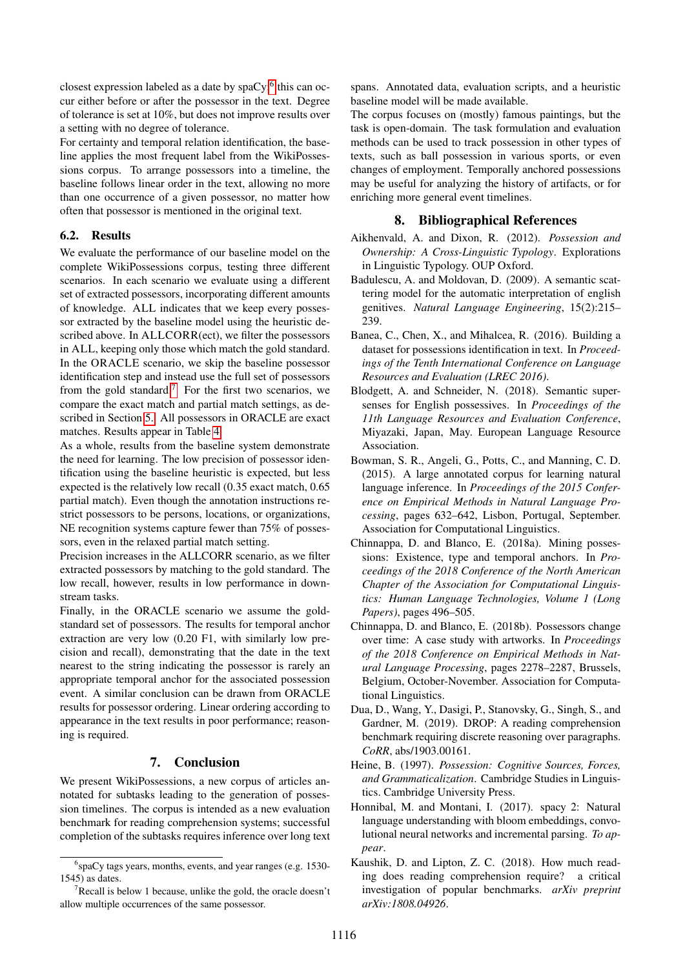closest expression labeled as a date by  $spaCy$ ; this can occur either before or after the possessor in the text. Degree of tolerance is set at 10%, but does not improve results over a setting with no degree of tolerance.

For certainty and temporal relation identification, the baseline applies the most frequent label from the WikiPossessions corpus. To arrange possessors into a timeline, the baseline follows linear order in the text, allowing no more than one occurrence of a given possessor, no matter how often that possessor is mentioned in the original text.

# 6.2. Results

We evaluate the performance of our baseline model on the complete WikiPossessions corpus, testing three different scenarios. In each scenario we evaluate using a different set of extracted possessors, incorporating different amounts of knowledge. ALL indicates that we keep every possessor extracted by the baseline model using the heuristic described above. In ALLCORR(ect), we filter the possessors in ALL, keeping only those which match the gold standard. In the ORACLE scenario, we skip the baseline possessor identification step and instead use the full set of possessors from the gold standard.<sup>[7](#page-6-12)</sup> For the first two scenarios, we compare the exact match and partial match settings, as described in Section [5..](#page-4-0) All possessors in ORACLE are exact matches. Results appear in Table [4.](#page-5-2)

As a whole, results from the baseline system demonstrate the need for learning. The low precision of possessor identification using the baseline heuristic is expected, but less expected is the relatively low recall (0.35 exact match, 0.65 partial match). Even though the annotation instructions restrict possessors to be persons, locations, or organizations, NE recognition systems capture fewer than 75% of possessors, even in the relaxed partial match setting.

Precision increases in the ALLCORR scenario, as we filter extracted possessors by matching to the gold standard. The low recall, however, results in low performance in downstream tasks.

Finally, in the ORACLE scenario we assume the goldstandard set of possessors. The results for temporal anchor extraction are very low (0.20 F1, with similarly low precision and recall), demonstrating that the date in the text nearest to the string indicating the possessor is rarely an appropriate temporal anchor for the associated possession event. A similar conclusion can be drawn from ORACLE results for possessor ordering. Linear ordering according to appearance in the text results in poor performance; reasoning is required.

# 7. Conclusion

We present WikiPossessions, a new corpus of articles annotated for subtasks leading to the generation of possession timelines. The corpus is intended as a new evaluation benchmark for reading comprehension systems; successful completion of the subtasks requires inference over long text spans. Annotated data, evaluation scripts, and a heuristic baseline model will be made available.

The corpus focuses on (mostly) famous paintings, but the task is open-domain. The task formulation and evaluation methods can be used to track possession in other types of texts, such as ball possession in various sports, or even changes of employment. Temporally anchored possessions may be useful for analyzing the history of artifacts, or for enriching more general event timelines.

# 8. Bibliographical References

- <span id="page-6-3"></span>Aikhenvald, A. and Dixon, R. (2012). *Possession and Ownership: A Cross-Linguistic Typology*. Explorations in Linguistic Typology. OUP Oxford.
- <span id="page-6-5"></span>Badulescu, A. and Moldovan, D. (2009). A semantic scattering model for the automatic interpretation of english genitives. *Natural Language Engineering*, 15(2):215– 239.
- <span id="page-6-7"></span>Banea, C., Chen, X., and Mihalcea, R. (2016). Building a dataset for possessions identification in text. In *Proceedings of the Tenth International Conference on Language Resources and Evaluation (LREC 2016)*.
- <span id="page-6-6"></span>Blodgett, A. and Schneider, N. (2018). Semantic supersenses for English possessives. In *Proceedings of the 11th Language Resources and Evaluation Conference*, Miyazaki, Japan, May. European Language Resource Association.
- <span id="page-6-0"></span>Bowman, S. R., Angeli, G., Potts, C., and Manning, C. D. (2015). A large annotated corpus for learning natural language inference. In *Proceedings of the 2015 Conference on Empirical Methods in Natural Language Processing*, pages 632–642, Lisbon, Portugal, September. Association for Computational Linguistics.
- <span id="page-6-8"></span>Chinnappa, D. and Blanco, E. (2018a). Mining possessions: Existence, type and temporal anchors. In *Proceedings of the 2018 Conference of the North American Chapter of the Association for Computational Linguistics: Human Language Technologies, Volume 1 (Long Papers)*, pages 496–505.
- <span id="page-6-9"></span>Chinnappa, D. and Blanco, E. (2018b). Possessors change over time: A case study with artworks. In *Proceedings of the 2018 Conference on Empirical Methods in Natural Language Processing*, pages 2278–2287, Brussels, Belgium, October-November. Association for Computational Linguistics.
- <span id="page-6-1"></span>Dua, D., Wang, Y., Dasigi, P., Stanovsky, G., Singh, S., and Gardner, M. (2019). DROP: A reading comprehension benchmark requiring discrete reasoning over paragraphs. *CoRR*, abs/1903.00161.
- <span id="page-6-4"></span>Heine, B. (1997). *Possession: Cognitive Sources, Forces, and Grammaticalization*. Cambridge Studies in Linguistics. Cambridge University Press.
- <span id="page-6-10"></span>Honnibal, M. and Montani, I. (2017). spacy 2: Natural language understanding with bloom embeddings, convolutional neural networks and incremental parsing. *To appear*.
- <span id="page-6-2"></span>Kaushik, D. and Lipton, Z. C. (2018). How much reading does reading comprehension require? a critical investigation of popular benchmarks. *arXiv preprint arXiv:1808.04926*.

<span id="page-6-11"></span><sup>6</sup> spaCy tags years, months, events, and year ranges (e.g. 1530- 1545) as dates.

<span id="page-6-12"></span> $7$ Recall is below 1 because, unlike the gold, the oracle doesn't allow multiple occurrences of the same possessor.